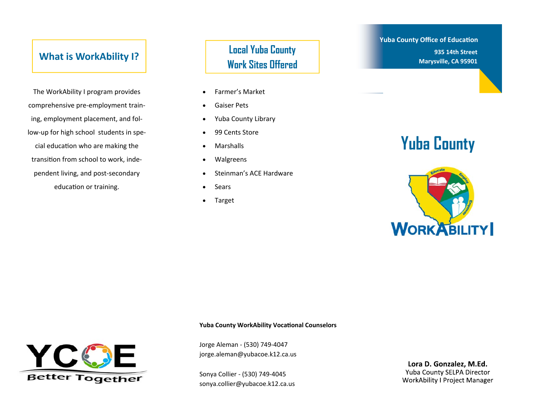#### **What is WorkAbility I?**

The WorkAbility I program provides comprehensive pre‐employment train‐ ing, employment placement, and fol‐ low‐up for high school students in spe‐ cial education who are making the transition from school to work, independent living, and post‐secondary education or training.

#### **Local Yuba County Work Sites Offered**

- $\bullet$ Farmer's Market
- $\bullet$ Gaiser Pets
- $\bullet$ Yuba County Library
- $\bullet$ 99 Cents Store
- $\bullet$ Marshalls
- $\bullet$ Walgreens
- $\bullet$ Steinman's ACE Hardware
- $\bullet$ Sears
- $\bullet$ Target

#### **Yuba County Office of Education 935 14th Street Marysville, CA 95901**

# **Yuba County**



#### **Yuba County WorkAbility Vocational Counselors**



Jorge Aleman ‐ (530) 749‐4047 jorge.aleman@yubacoe.k12.ca.us

Sonya Collier ‐ (530) 749‐4045 sonya.collier@yubacoe.k12.ca.us

Lora D. Gonzalez, M.Ed. Yuba County SELPA Director **WorkAbility I Project Manager**